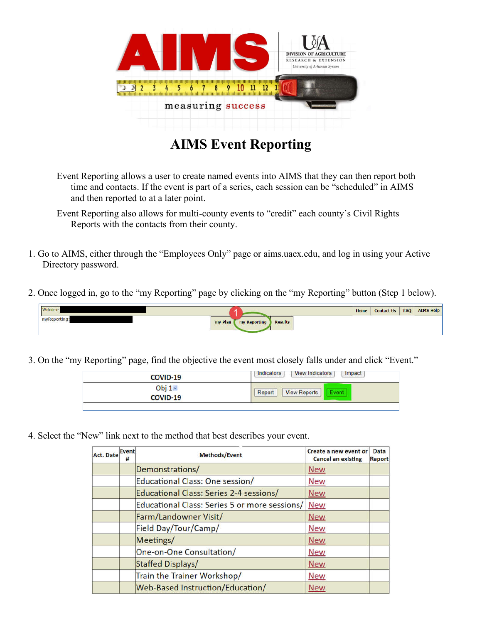

# **AIMS Event Reporting**

Event Reporting allows a user to create named events into AIMS that they can then report both time and contacts. If the event is part of a series, each session can be "scheduled" in AIMS and then reported to at a later point.

- 1. Go to AIMS, either through the "Employees Only" page or aims.uaex.edu, and log in using your Active Directory password.
- 2. Once logged in, go to the "my Reporting" page by clicking on the "my Reporting" button (Step 1 below).



3. On the "my Reporting" page, find the objective the event most closely falls under and click "Event."

| <b>COVID-19</b> | <b>Impact</b><br><b>View Indicators</b><br>Indicators |
|-----------------|-------------------------------------------------------|
| Obj $1 -$       | <b>View Reports</b>                                   |
| COVID-19        | Report                                                |

4. Select the "New" link next to the method that best describes your event.

| Act. Date | Event<br>#               | <b>Methods/Event</b>                          | Create a new event or<br><b>Cancel an existing</b> | <b>Data</b><br><b>Report</b> |
|-----------|--------------------------|-----------------------------------------------|----------------------------------------------------|------------------------------|
|           |                          | Demonstrations/                               | <b>New</b>                                         |                              |
|           |                          | Educational Class: One session/               | <b>New</b>                                         |                              |
|           |                          | Educational Class: Series 2-4 sessions/       | <b>New</b>                                         |                              |
|           |                          | Educational Class: Series 5 or more sessions/ | <b>New</b>                                         |                              |
|           |                          | Farm/Landowner Visit/                         | <b>New</b>                                         |                              |
|           |                          | Field Day/Tour/Camp/                          | <b>New</b>                                         |                              |
|           |                          | Meetings/                                     | <b>New</b>                                         |                              |
|           |                          | One-on-One Consultation/                      | <b>New</b>                                         |                              |
|           | <b>Staffed Displays/</b> |                                               | <b>New</b>                                         |                              |
|           |                          | Train the Trainer Workshop/                   | <b>New</b>                                         |                              |
|           |                          | Web-Based Instruction/Education/              | <b>New</b>                                         |                              |

Event Reporting also allows for multi-county events to "credit" each county's Civil Rights Reports with the contacts from their county.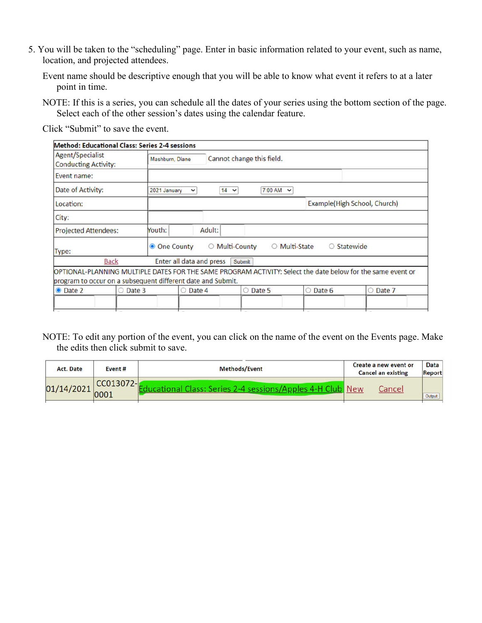- 5. You will be taken to the "scheduling" page. Enter in basic information related to your event, such as name, location, and projected attendees.
	- Event name should be descriptive enough that you will be able to know what event it refers to at a later point in time.
	- NOTE: If this is a series, you can schedule all the dates of your series using the bottom section of the page. Select each of the other session's dates using the calendar feature.

Click "Submit" to save the event.

|                                                        |             | <b>Method: Educational Class: Series 2-4 sessions</b>       |                                |                  |                             |                                                                                                             |
|--------------------------------------------------------|-------------|-------------------------------------------------------------|--------------------------------|------------------|-----------------------------|-------------------------------------------------------------------------------------------------------------|
| <b>Agent/Specialist</b><br><b>Conducting Activity:</b> |             | Mashburn, Diane                                             | Cannot change this field.      |                  |                             |                                                                                                             |
| Event name:                                            |             |                                                             |                                |                  |                             |                                                                                                             |
| Date of Activity:                                      |             | 2021 January<br>$\check{~}$                                 | $14 \times$                    | $7:00$ AM $\sim$ |                             |                                                                                                             |
| Location:                                              |             |                                                             |                                |                  |                             | Example(High School, Church)                                                                                |
| City:                                                  |             |                                                             |                                |                  |                             |                                                                                                             |
| <b>Projected Attendees:</b>                            |             | Youth:                                                      | Adult:                         |                  |                             |                                                                                                             |
| Type:                                                  |             | <b>O</b> One County                                         | <b>Multi-County</b><br>$\circ$ |                  | O Multi-State<br>$\bigcirc$ | Statewide                                                                                                   |
|                                                        | <b>Back</b> | Enter all data and press                                    | Submit                         |                  |                             |                                                                                                             |
|                                                        |             | program to occur on a subsequent different date and Submit. |                                |                  |                             | OPTIONAL-PLANNING MULTIPLE DATES FOR THE SAME PROGRAM ACTIVITY: Select the date below for the same event or |
| • Date 2                                               | ○ Date 3    | O Date 4                                                    |                                | ○ Date 5         | O Date 6                    | O Date 7                                                                                                    |
|                                                        |             |                                                             |                                |                  |                             |                                                                                                             |

NOTE: To edit any portion of the event, you can click on the name of the event on the Events page. Make the edits then click submit to save.

| Act. Date  | Event#            | <b>Methods/Event</b>                                       |  | Create a new event or<br><b>Cancel an existing</b> | Data<br><b>Report</b> |
|------------|-------------------|------------------------------------------------------------|--|----------------------------------------------------|-----------------------|
| 01/14/2021 | CC013072-<br>000. | Educational Class: Series 2-4 sessions/Apples 4-H Club New |  | Cancey                                             | Output                |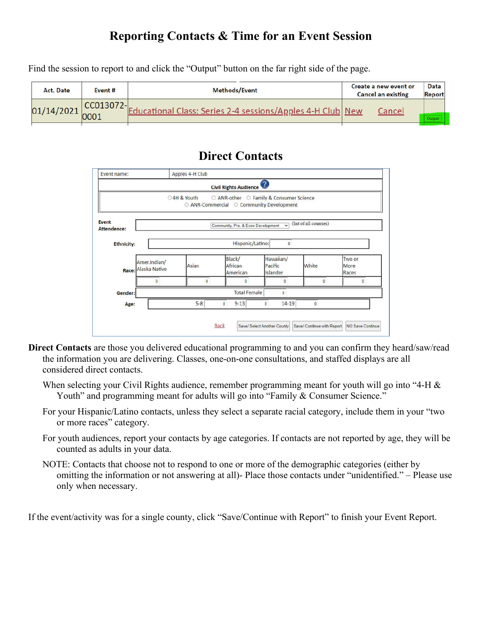## **Reporting Contacts & Time for an Event Session**

Find the session to report to and click the "Output" button on the far right side of the page.

| Act. Date                       | Event #       | <b>Methods/Event</b>                                       | Create a new event or<br><b>Cancel an existing</b> | <b>Data</b><br><b>Report</b> |
|---------------------------------|---------------|------------------------------------------------------------|----------------------------------------------------|------------------------------|
| $01/14/2021\Big _{0001}^{0001}$ | $ CC013072- $ | Educational Class: Series 2-4 sessions/Apples 4-H Club New | Cancel                                             |                              |
|                                 |               |                                                            |                                                    |                              |

#### **Direct Contacts**



- **Direct Contacts** are those you delivered educational programming to and you can confirm they heard/saw/read the information you are delivering. Classes, one-on-one consultations, and staffed displays are all considered direct contacts.
	- When selecting your Civil Rights audience, remember programming meant for youth will go into "4-H & Youth" and programming meant for adults will go into "Family & Consumer Science."
	- For your Hispanic/Latino contacts, unless they select a separate racial category, include them in your "two or more races" category.
	- For youth audiences, report your contacts by age categories. If contacts are not reported by age, they will be counted as adults in your data.
	- NOTE: Contacts that choose not to respond to one or more of the demographic categories (either by omitting the information or not answering at all)- Place those contacts under "unidentified." – Please use only when necessary.

If the event/activity was for a single county, click "Save/Continue with Report" to finish your Event Report.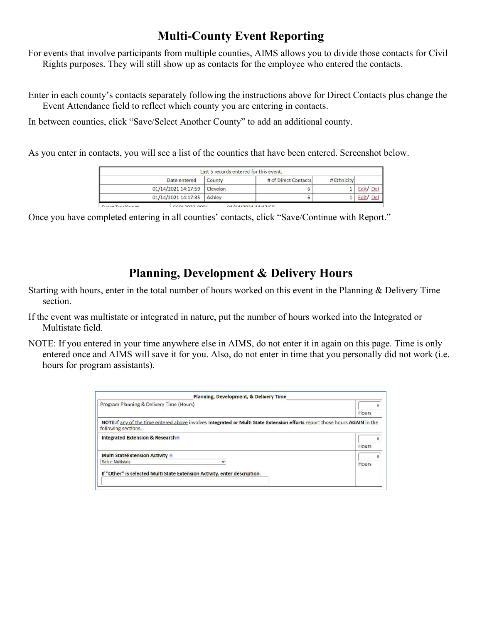### **Multi-County Event Reporting**

For events that involve participants from multiple counties, AIMS allows you to divide those contacts for Civil Rights purposes. They will still show up as contacts for the employee who entered the contacts.

Enter in each county's contacts separately following the instructions above for Direct Contacts plus change the Event Attendance field to reflect which county you are entering in contacts.

In between counties, click "Save/Select Another County" to add an additional county.

As you enter in contacts, you will see a list of the counties that have been entered. Screenshot below.

|                       |                     | Last 5 records entered for this event. |                      |             |           |
|-----------------------|---------------------|----------------------------------------|----------------------|-------------|-----------|
|                       | Date entered        | County                                 | # of Direct Contacts | # Ethnicity |           |
|                       | 01/14/2021 14:17:59 | <b>Clevelan</b>                        |                      |             | Edit/ Del |
|                       | 01/14/2021 14:17:35 | Ashley                                 |                      |             | Edit/ Del |
| Expant Translation He | CCM 3073001         |                                        | 01/11/00111117.50    |             |           |

Once you have completed entering in all counties' contacts, click "Save/Continue with Report."

#### **Planning, Development & Delivery Hours**

- Starting with hours, enter in the total number of hours worked on this event in the Planning & Delivery Time section.
- If the event was multistate or integrated in nature, put the number of hours worked into the Integrated or Multistate field.
- NOTE: If you entered in your time anywhere else in AIMS, do not enter it in again on this page. Time is only entered once and AIMS will save it for you. Also, do not enter in time that you personally did not work (i.e. hours for program assistants).

| <b>Planning, Development, &amp; Delivery Time</b>                                                                                                  |              |
|----------------------------------------------------------------------------------------------------------------------------------------------------|--------------|
| Program Planning & Delivery Time (Hours)                                                                                                           |              |
|                                                                                                                                                    | <b>Hours</b> |
| NOTE: If any of the time entered above involves Integrated or Multi State Extension efforts report those hours AGAIN in the<br>following sections. |              |
| Integrated Extension & Research -                                                                                                                  | <b>Hours</b> |
| <b>Multi StateExtension Activity -</b>                                                                                                             |              |
| <b>Select Multistate</b><br>v                                                                                                                      | <b>Hours</b> |
| If "Other" is selected Multi State Extension Activity, enter description.                                                                          |              |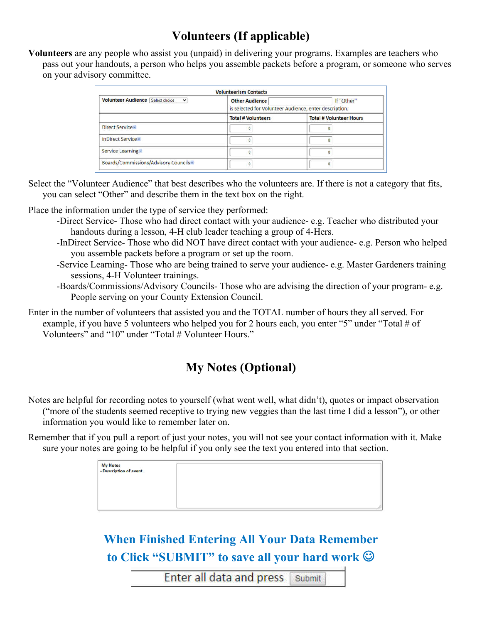## **Volunteers (If applicable)**

**Volunteers** are any people who assist you (unpaid) in delivering your programs. Examples are teachers who pass out your handouts, a person who helps you assemble packets before a program, or someone who serves on your advisory committee.

| <b>Volunteer Audience Select choice</b><br>$\checkmark$ | <b>Other Audience</b><br>If "Other"<br>is selected for Volunteer Audience, enter description. |                                |  |
|---------------------------------------------------------|-----------------------------------------------------------------------------------------------|--------------------------------|--|
|                                                         | <b>Total # Volunteers</b>                                                                     | <b>Total # Volunteer Hours</b> |  |
| Direct Service -                                        |                                                                                               |                                |  |
| InDirect Service -                                      |                                                                                               |                                |  |
| Service Learning                                        |                                                                                               |                                |  |
| Boards/Commissions/Advisory Councils                    |                                                                                               |                                |  |

Select the "Volunteer Audience" that best describes who the volunteers are. If there is not a category that fits, you can select "Other" and describe them in the text box on the right.

Place the information under the type of service they performed:

- -Direct Service- Those who had direct contact with your audience- e.g. Teacher who distributed your handouts during a lesson, 4-H club leader teaching a group of 4-Hers.
- -InDirect Service- Those who did NOT have direct contact with your audience- e.g. Person who helped you assemble packets before a program or set up the room.
- -Service Learning- Those who are being trained to serve your audience- e.g. Master Gardeners training sessions, 4-H Volunteer trainings.
- -Boards/Commissions/Advisory Councils- Those who are advising the direction of your program- e.g. People serving on your County Extension Council.
- Enter in the number of volunteers that assisted you and the TOTAL number of hours they all served. For example, if you have 5 volunteers who helped you for 2 hours each, you enter "5" under "Total # of Volunteers" and "10" under "Total # Volunteer Hours."

## **My Notes (Optional)**

Notes are helpful for recording notes to yourself (what went well, what didn't), quotes or impact observation ("more of the students seemed receptive to trying new veggies than the last time I did a lesson"), or other information you would like to remember later on.

Remember that if you pull a report of just your notes, you will not see your contact information with it. Make sure your notes are going to be helpful if you only see the text you entered into that section.

| My Notes<br>- Description of event. |  |  |
|-------------------------------------|--|--|
|                                     |  |  |
|                                     |  |  |
|                                     |  |  |

**When Finished Entering All Your Data Remember to Click "SUBMIT" to save all your hard work** 

> **Enter all data and press** Submit